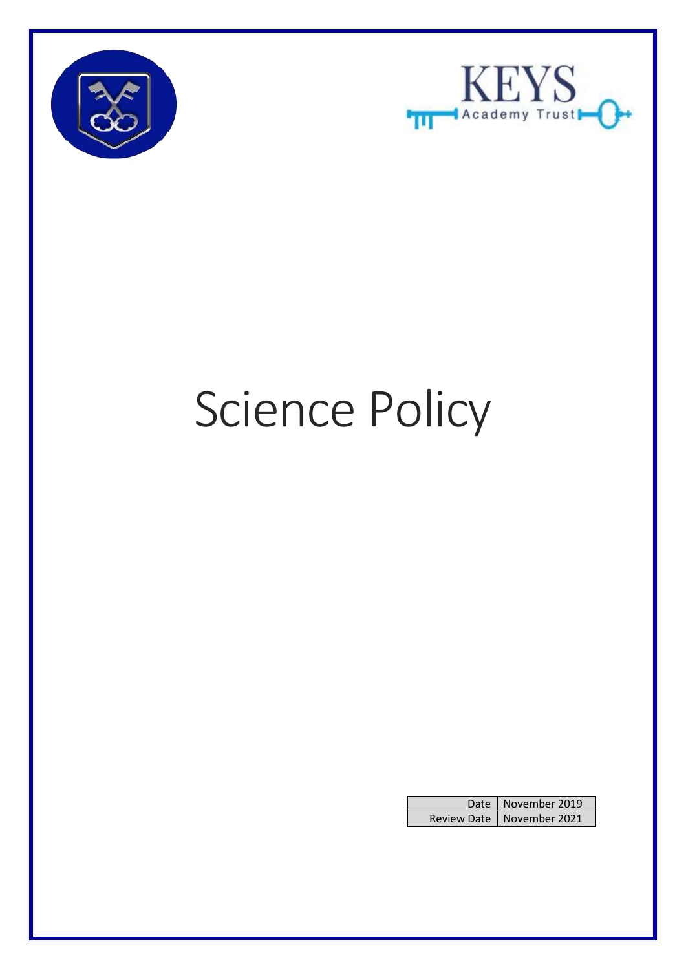



# Science Policy

| Date   November 2019        |
|-----------------------------|
| Review Date   November 2021 |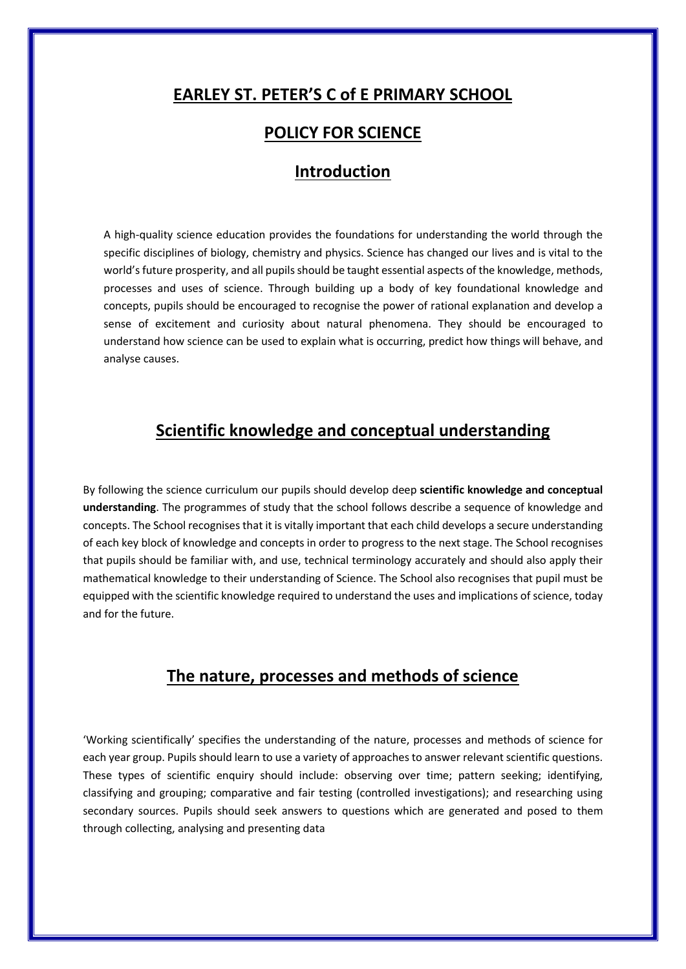# **EARLEY ST. PETER'S C of E PRIMARY SCHOOL**

## **POLICY FOR SCIENCE**

#### **Introduction**

A high-quality science education provides the foundations for understanding the world through the specific disciplines of biology, chemistry and physics. Science has changed our lives and is vital to the world's future prosperity, and all pupils should be taught essential aspects of the knowledge, methods, processes and uses of science. Through building up a body of key foundational knowledge and concepts, pupils should be encouraged to recognise the power of rational explanation and develop a sense of excitement and curiosity about natural phenomena. They should be encouraged to understand how science can be used to explain what is occurring, predict how things will behave, and analyse causes.

## **Scientific knowledge and conceptual understanding**

By following the science curriculum our pupils should develop deep **scientific knowledge and conceptual understanding**. The programmes of study that the school follows describe a sequence of knowledge and concepts. The School recognises that it is vitally important that each child develops a secure understanding of each key block of knowledge and concepts in order to progress to the next stage. The School recognises that pupils should be familiar with, and use, technical terminology accurately and should also apply their mathematical knowledge to their understanding of Science. The School also recognises that pupil must be equipped with the scientific knowledge required to understand the uses and implications of science, today and for the future.

## **The nature, processes and methods of science**

'Working scientifically' specifies the understanding of the nature, processes and methods of science for each year group. Pupils should learn to use a variety of approaches to answer relevant scientific questions. These types of scientific enquiry should include: observing over time; pattern seeking; identifying, classifying and grouping; comparative and fair testing (controlled investigations); and researching using secondary sources. Pupils should seek answers to questions which are generated and posed to them through collecting, analysing and presenting data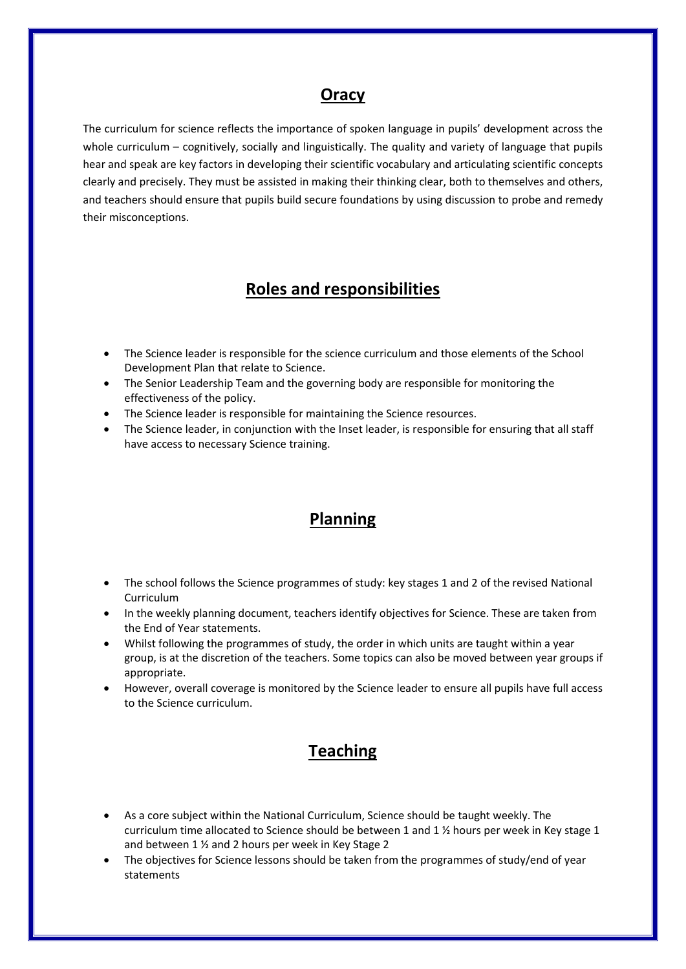## **Oracy**

The curriculum for science reflects the importance of spoken language in pupils' development across the whole curriculum – cognitively, socially and linguistically. The quality and variety of language that pupils hear and speak are key factors in developing their scientific vocabulary and articulating scientific concepts clearly and precisely. They must be assisted in making their thinking clear, both to themselves and others, and teachers should ensure that pupils build secure foundations by using discussion to probe and remedy their misconceptions.

# **Roles and responsibilities**

- The Science leader is responsible for the science curriculum and those elements of the School Development Plan that relate to Science.
- The Senior Leadership Team and the governing body are responsible for monitoring the effectiveness of the policy.
- The Science leader is responsible for maintaining the Science resources.
- The Science leader, in conjunction with the Inset leader, is responsible for ensuring that all staff have access to necessary Science training.

# **Planning**

- The school follows the Science programmes of study: key stages 1 and 2 of the revised National Curriculum
- In the weekly planning document, teachers identify objectives for Science. These are taken from the End of Year statements.
- Whilst following the programmes of study, the order in which units are taught within a year group, is at the discretion of the teachers. Some topics can also be moved between year groups if appropriate.
- However, overall coverage is monitored by the Science leader to ensure all pupils have full access to the Science curriculum.

# **Teaching**

- As a core subject within the National Curriculum, Science should be taught weekly. The curriculum time allocated to Science should be between 1 and 1 ½ hours per week in Key stage 1 and between 1 ½ and 2 hours per week in Key Stage 2
- The objectives for Science lessons should be taken from the programmes of study/end of year statements